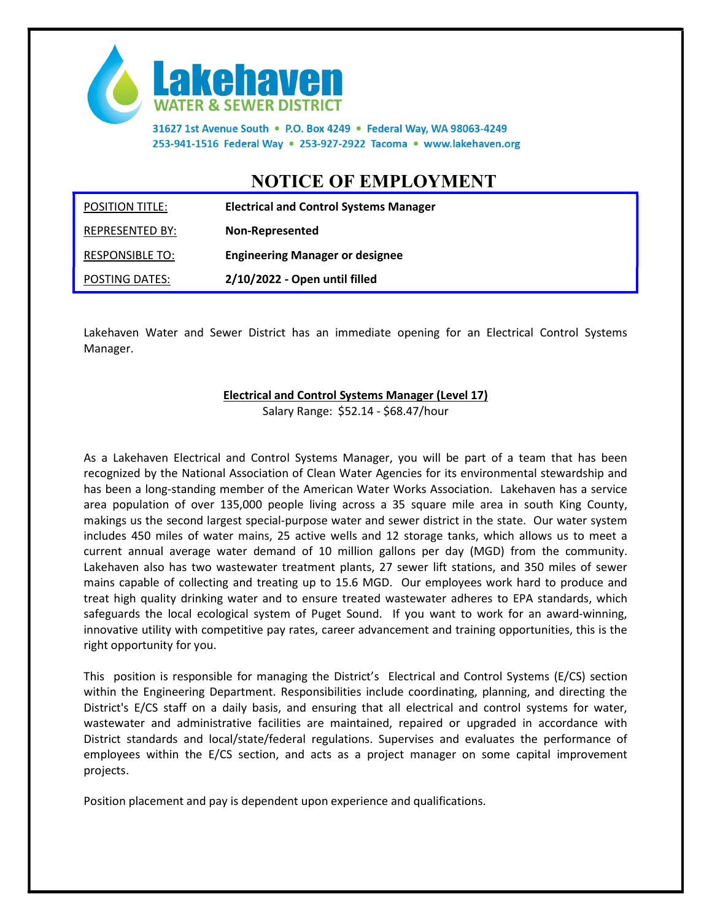

31627 1st Avenue South . P.O. Box 4249 . Federal Way, WA 98063-4249 253-941-1516 Federal Way . 253-927-2922 Tacoma . www.lakehaven.org

## NOTICE OF EMPLOYMENT

| <b>POSITION TITLE:</b> | <b>Electrical and Control Systems Manager</b> |
|------------------------|-----------------------------------------------|
| REPRESENTED BY:        | <b>Non-Represented</b>                        |
| <b>RESPONSIBLE TO:</b> | <b>Engineering Manager or designee</b>        |
| POSTING DATES:         | 2/10/2022 - Open until filled                 |

Lakehaven Water and Sewer District has an immediate opening for an Electrical Control Systems Manager.

## Electrical and Control Systems Manager (Level 17)

Salary Range: \$52.14 - \$68.47/hour

As a Lakehaven Electrical and Control Systems Manager, you will be part of a team that has been recognized by the National Association of Clean Water Agencies for its environmental stewardship and has been a long-standing member of the American Water Works Association. Lakehaven has a service area population of over 135,000 people living across a 35 square mile area in south King County, makings us the second largest special-purpose water and sewer district in the state. Our water system includes 450 miles of water mains, 25 active wells and 12 storage tanks, which allows us to meet a current annual average water demand of 10 million gallons per day (MGD) from the community. Lakehaven also has two wastewater treatment plants, 27 sewer lift stations, and 350 miles of sewer mains capable of collecting and treating up to 15.6 MGD. Our employees work hard to produce and treat high quality drinking water and to ensure treated wastewater adheres to EPA standards, which safeguards the local ecological system of Puget Sound. If you want to work for an award-winning, innovative utility with competitive pay rates, career advancement and training opportunities, this is the right opportunity for you.

This position is responsible for managing the District's Electrical and Control Systems (E/CS) section within the Engineering Department. Responsibilities include coordinating, planning, and directing the District's E/CS staff on a daily basis, and ensuring that all electrical and control systems for water, wastewater and administrative facilities are maintained, repaired or upgraded in accordance with District standards and local/state/federal regulations. Supervises and evaluates the performance of employees within the E/CS section, and acts as a project manager on some capital improvement projects.

Position placement and pay is dependent upon experience and qualifications.